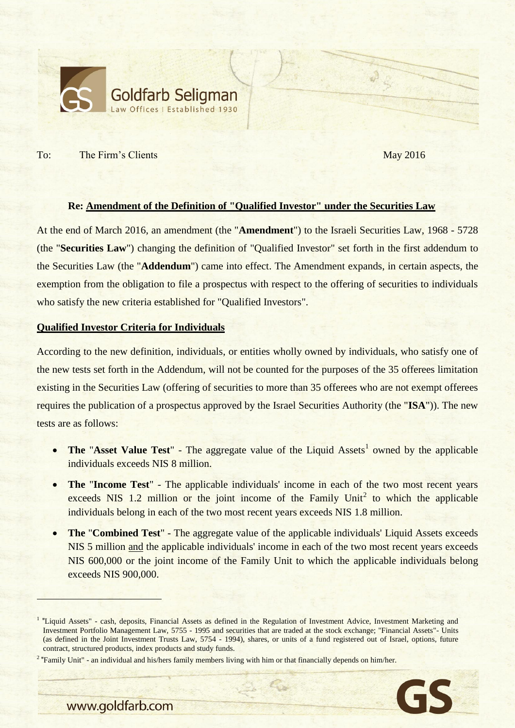

To: The Firm's Clients May 2016

## **Re: Amendment of the Definition of "Qualified Investor" under the Securities Law**

At the end of March 2016, an amendment (the "**Amendment**") to the Israeli Securities Law, 1968 - 5728 (the "**Securities Law**") changing the definition of "Qualified Investor" set forth in the first addendum to the Securities Law (the "**Addendum**") came into effect. The Amendment expands, in certain aspects, the exemption from the obligation to file a prospectus with respect to the offering of securities to individuals who satisfy the new criteria established for "Qualified Investors".

## **Qualified Investor Criteria for Individuals**

According to the new definition, individuals, or entities wholly owned by individuals, who satisfy one of the new tests set forth in the Addendum, will not be counted for the purposes of the 35 offerees limitation existing in the Securities Law (offering of securities to more than 35 offerees who are not exempt offerees requires the publication of a prospectus approved by the Israel Securities Authority (the "**ISA**")). The new tests are as follows:

- The "Asset Value Test" The aggregate value of the Liquid Assets<sup>1</sup> owned by the applicable individuals exceeds NIS 8 million.
- **The** "**Income Test**" The applicable individuals' income in each of the two most recent years exceeds NIS 1.2 million or the joint income of the Family Unit<sup>2</sup> to which the applicable individuals belong in each of the two most recent years exceeds NIS 1.8 million.
- **The** "**Combined Test**" The aggregate value of the applicable individuals' Liquid Assets exceeds NIS 5 million and the applicable individuals' income in each of the two most recent years exceeds NIS 600,000 or the joint income of the Family Unit to which the applicable individuals belong exceeds NIS 900,000.

<sup>&</sup>lt;sup>2</sup> "Family Unit" - an individual and his/hers family members living with him or that financially depends on him/her.



www.goldfarb.com

<sup>&</sup>lt;sup>1</sup> "Liquid Assets" - cash, deposits, Financial Assets as defined in the Regulation of Investment Advice, Investment Marketing and Investment Portfolio Management Law, 5755 - 1995 and securities that are traded at the stock exchange; "Financial Assets"- Units (as defined in the Joint Investment Trusts Law, 5754 - 1994), shares, or units of a fund registered out of Israel, options, future contract, structured products, index products and study funds.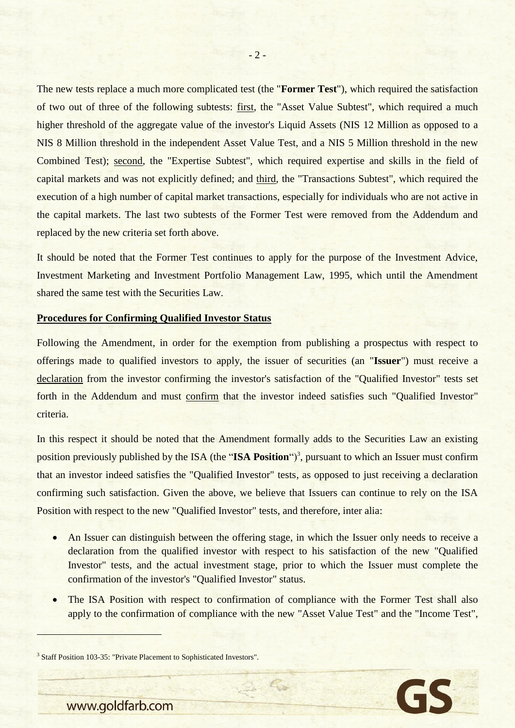The new tests replace a much more complicated test (the "**Former Test**"), which required the satisfaction of two out of three of the following subtests: first, the "Asset Value Subtest", which required a much higher threshold of the aggregate value of the investor's Liquid Assets (NIS 12 Million as opposed to a NIS 8 Million threshold in the independent Asset Value Test, and a NIS 5 Million threshold in the new Combined Test); second, the "Expertise Subtest", which required expertise and skills in the field of capital markets and was not explicitly defined; and third, the "Transactions Subtest", which required the execution of a high number of capital market transactions, especially for individuals who are not active in the capital markets. The last two subtests of the Former Test were removed from the Addendum and replaced by the new criteria set forth above.

It should be noted that the Former Test continues to apply for the purpose of the Investment Advice, Investment Marketing and Investment Portfolio Management Law, 1995, which until the Amendment shared the same test with the Securities Law.

## **Procedures for Confirming Qualified Investor Status**

Following the Amendment, in order for the exemption from publishing a prospectus with respect to offerings made to qualified investors to apply, the issuer of securities (an "**Issuer**") must receive a declaration from the investor confirming the investor's satisfaction of the "Qualified Investor" tests set forth in the Addendum and must confirm that the investor indeed satisfies such "Qualified Investor" criteria.

In this respect it should be noted that the Amendment formally adds to the Securities Law an existing position previously published by the ISA (the "ISA Position")<sup>3</sup>, pursuant to which an Issuer must confirm that an investor indeed satisfies the "Qualified Investor" tests, as opposed to just receiving a declaration confirming such satisfaction. Given the above, we believe that Issuers can continue to rely on the ISA Position with respect to the new "Qualified Investor" tests, and therefore, inter alia:

- An Issuer can distinguish between the offering stage, in which the Issuer only needs to receive a declaration from the qualified investor with respect to his satisfaction of the new "Qualified Investor" tests, and the actual investment stage, prior to which the Issuer must complete the confirmation of the investor's "Qualified Investor" status.
- The ISA Position with respect to confirmation of compliance with the Former Test shall also apply to the confirmation of compliance with the new "Asset Value Test" and the "Income Test",

 $\epsilon_{\rm b}$ 

<sup>3</sup> Staff Position 103-35: "Private Placement to Sophisticated Investors".



www.goldfarb.com

 $\overline{a}$